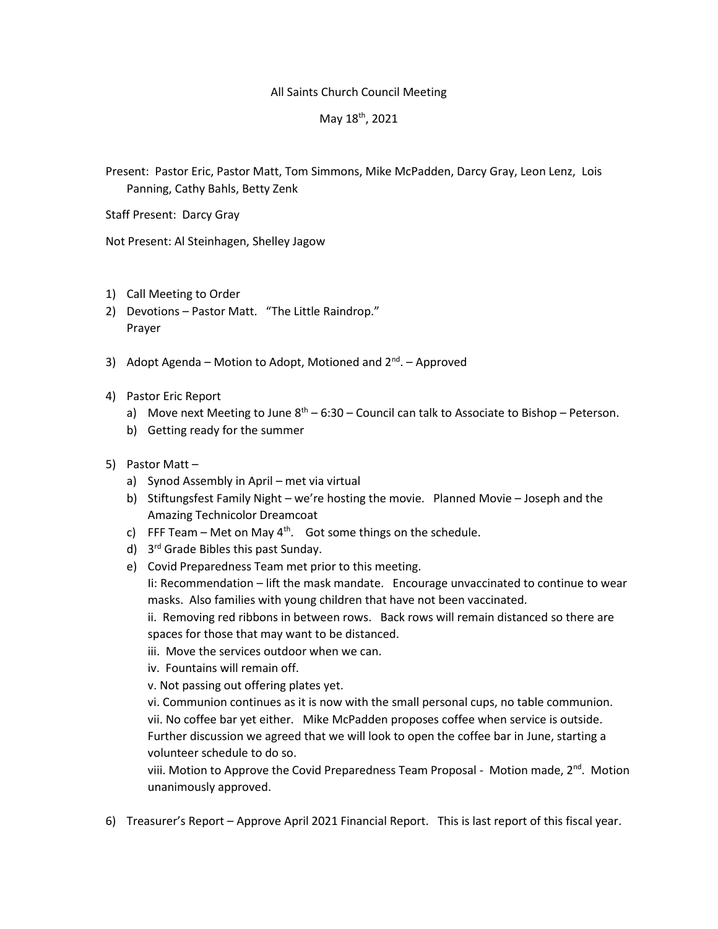## All Saints Church Council Meeting

## May 18th, 2021

Present: Pastor Eric, Pastor Matt, Tom Simmons, Mike McPadden, Darcy Gray, Leon Lenz, Lois Panning, Cathy Bahls, Betty Zenk

Staff Present: Darcy Gray

Not Present: Al Steinhagen, Shelley Jagow

- 1) Call Meeting to Order
- 2) Devotions Pastor Matt. "The Little Raindrop." Prayer
- 3) Adopt Agenda Motion to Adopt, Motioned and 2<sup>nd</sup>. Approved
- 4) Pastor Eric Report
	- a) Move next Meeting to June  $8^{th}$  6:30 Council can talk to Associate to Bishop Peterson.
	- b) Getting ready for the summer
- 5) Pastor Matt
	- a) Synod Assembly in April met via virtual
	- b) Stiftungsfest Family Night we're hosting the movie. Planned Movie Joseph and the Amazing Technicolor Dreamcoat
	- c) FFF Team Met on May  $4<sup>th</sup>$ . Got some things on the schedule.
	- d) 3 rd Grade Bibles this past Sunday.
	- e) Covid Preparedness Team met prior to this meeting. Ii: Recommendation – lift the mask mandate. Encourage unvaccinated to continue to wear masks. Also families with young children that have not been vaccinated. ii. Removing red ribbons in between rows. Back rows will remain distanced so there are
		- spaces for those that may want to be distanced.
		- iii. Move the services outdoor when we can.
		- iv. Fountains will remain off.
		- v. Not passing out offering plates yet.
		- vi. Communion continues as it is now with the small personal cups, no table communion.

vii. No coffee bar yet either. Mike McPadden proposes coffee when service is outside. Further discussion we agreed that we will look to open the coffee bar in June, starting a volunteer schedule to do so.

viii. Motion to Approve the Covid Preparedness Team Proposal - Motion made,  $2<sup>nd</sup>$ . Motion unanimously approved.

6) Treasurer's Report – Approve April 2021 Financial Report. This is last report of this fiscal year.